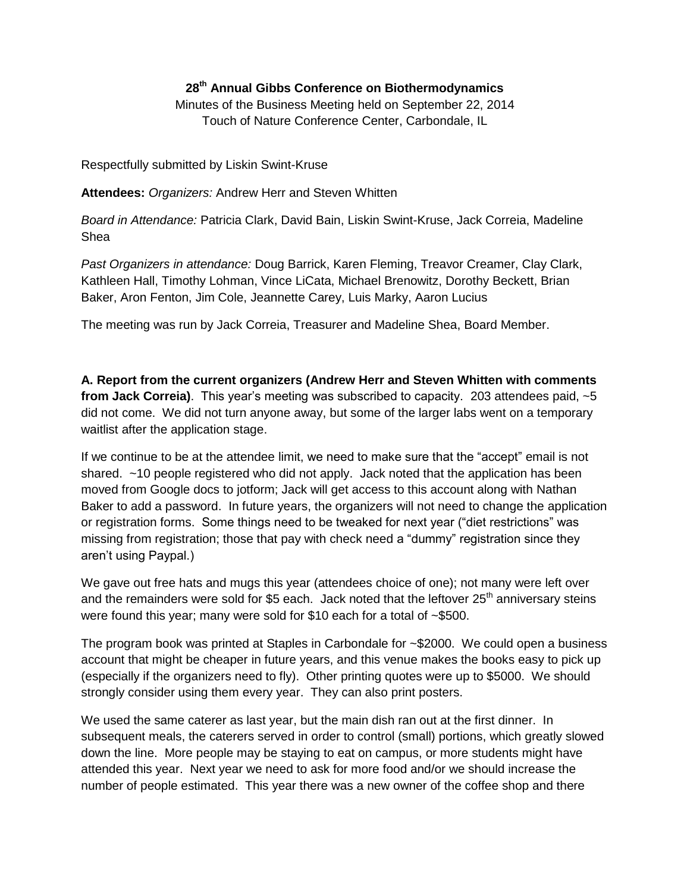## **28th Annual Gibbs Conference on Biothermodynamics**

Minutes of the Business Meeting held on September 22, 2014 Touch of Nature Conference Center, Carbondale, IL

Respectfully submitted by Liskin Swint-Kruse

**Attendees:** *Organizers:* Andrew Herr and Steven Whitten

*Board in Attendance:* Patricia Clark, David Bain, Liskin Swint-Kruse, Jack Correia, Madeline Shea

*Past Organizers in attendance:* Doug Barrick, Karen Fleming, Treavor Creamer, Clay Clark, Kathleen Hall, Timothy Lohman, Vince LiCata, Michael Brenowitz, Dorothy Beckett, Brian Baker, Aron Fenton, Jim Cole, Jeannette Carey, Luis Marky, Aaron Lucius

The meeting was run by Jack Correia, Treasurer and Madeline Shea, Board Member.

**A. Report from the current organizers (Andrew Herr and Steven Whitten with comments from Jack Correia)**. This year's meeting was subscribed to capacity. 203 attendees paid, ~5 did not come. We did not turn anyone away, but some of the larger labs went on a temporary waitlist after the application stage.

If we continue to be at the attendee limit, we need to make sure that the "accept" email is not shared. ~10 people registered who did not apply. Jack noted that the application has been moved from Google docs to jotform; Jack will get access to this account along with Nathan Baker to add a password. In future years, the organizers will not need to change the application or registration forms. Some things need to be tweaked for next year ("diet restrictions" was missing from registration; those that pay with check need a "dummy" registration since they aren't using Paypal.)

We gave out free hats and mugs this year (attendees choice of one); not many were left over and the remainders were sold for \$5 each. Jack noted that the leftover  $25<sup>th</sup>$  anniversary steins were found this year; many were sold for \$10 each for a total of ~\$500.

The program book was printed at Staples in Carbondale for ~\$2000. We could open a business account that might be cheaper in future years, and this venue makes the books easy to pick up (especially if the organizers need to fly). Other printing quotes were up to \$5000. We should strongly consider using them every year. They can also print posters.

We used the same caterer as last year, but the main dish ran out at the first dinner. In subsequent meals, the caterers served in order to control (small) portions, which greatly slowed down the line. More people may be staying to eat on campus, or more students might have attended this year. Next year we need to ask for more food and/or we should increase the number of people estimated. This year there was a new owner of the coffee shop and there